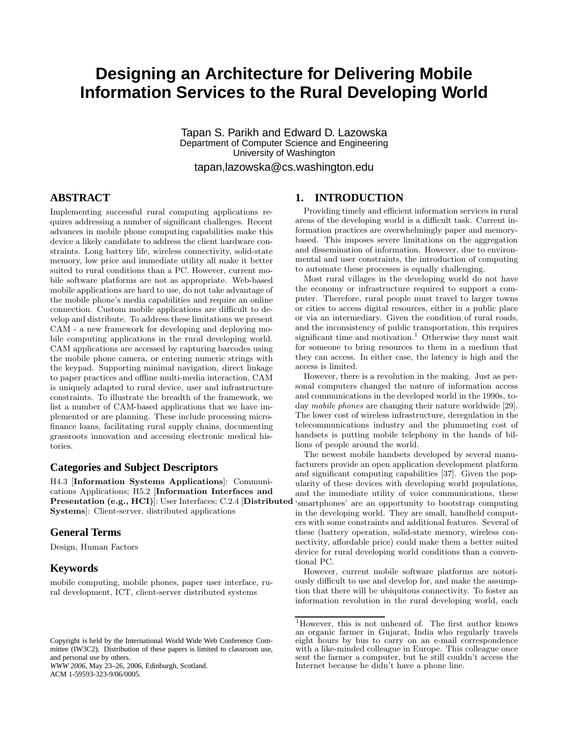# **Designing an Architecture for Delivering Mobile Information Services to the Rural Developing World**

Tapan S. Parikh and Edward D. Lazowska Department of Computer Science and Engineering University of Washington

tapan,lazowska@cs.washington.edu

# **ABSTRACT**

Implementing successful rural computing applications requires addressing a number of significant challenges. Recent advances in mobile phone computing capabilities make this device a likely candidate to address the client hardware constraints. Long battery life, wireless connectivity, solid-state memory, low price and immediate utility all make it better suited to rural conditions than a PC. However, current mobile software platforms are not as appropriate. Web-based mobile applications are hard to use, do not take advantage of the mobile phone's media capabilities and require an online connection. Custom mobile applications are difficult to develop and distribute. To address these limitations we present CAM - a new framework for developing and deploying mobile computing applications in the rural developing world. CAM applications are accessed by capturing barcodes using the mobile phone camera, or entering numeric strings with the keypad. Supporting minimal navigation, direct linkage to paper practices and offline multi-media interaction, CAM is uniquely adapted to rural device, user and infrastructure constraints. To illustrate the breadth of the framework, we list a number of CAM-based applications that we have implemented or are planning. These include processing microfinance loans, facilitating rural supply chains, documenting grassroots innovation and accessing electronic medical histories.

## **Categories and Subject Descriptors**

H4.3 [Information Systems Applications]: Communications Applications; H5.2 [Information Interfaces and Presentation (e.g., HCI)]: User Interfaces; C.2.4 [Distributed Systems]: Client-server, distributed applications

# **General Terms**

Design, Human Factors

# **Keywords**

mobile computing, mobile phones, paper user interface, rural development, ICT, client-server distributed systems

*WWW 2006*, May 23–26, 2006, Edinburgh, Scotland. ACM 1-59593-323-9/06/0005.

# **1. INTRODUCTION**

Providing timely and efficient information services in rural areas of the developing world is a difficult task. Current information practices are overwhelmingly paper and memorybased. This imposes severe limitations on the aggregation and dissemination of information. However, due to environmental and user constraints, the introduction of computing to automate these processes is equally challenging.

Most rural villages in the developing world do not have the economy or infrastructure required to support a computer. Therefore, rural people must travel to larger towns or cities to access digital resources, either in a public place or via an intermediary. Given the condition of rural roads, and the inconsistency of public transportation, this requires significant time and motivation.<sup>1</sup> Otherwise they must wait for someone to bring resources to them in a medium that they can access. In either case, the latency is high and the access is limited.

However, there is a revolution in the making. Just as personal computers changed the nature of information access and communications in the developed world in the 1990s, today mobile phones are changing their nature worldwide [29]. The lower cost of wireless infrastructure, deregulation in the telecommunications industry and the plummeting cost of handsets is putting mobile telephony in the hands of billions of people around the world.

The newest mobile handsets developed by several manufacturers provide an open application development platform and significant computing capabilities [37]. Given the popularity of these devices with developing world populations, and the immediate utility of voice communications, these 'smartphones' are an opportunity to bootstrap computing in the developing world. They are small, handheld computers with some constraints and additional features. Several of these (battery operation, solid-state memory, wireless connectivity, affordable price) could make them a better suited device for rural developing world conditions than a conventional PC.

However, current mobile software platforms are notoriously difficult to use and develop for, and make the assumption that there will be ubiquitous connectivity. To foster an information revolution in the rural developing world, each

Copyright is held by the International World Wide Web Conference Committee (IW3C2). Distribution of these papers is limited to classroom use, and personal use by others.

<sup>1</sup>However, this is not unheard of. The first author knows an organic farmer in Gujarat, India who regularly travels eight hours by bus to carry on an e-mail correspondence with a like-minded colleague in Europe. This colleague once sent the farmer a computer, but he still couldn't access the Internet because he didn't have a phone line.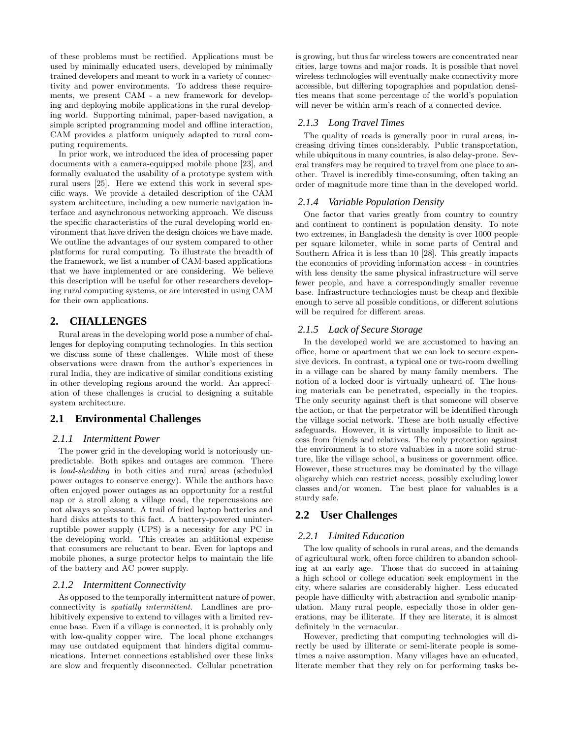of these problems must be rectified. Applications must be used by minimally educated users, developed by minimally trained developers and meant to work in a variety of connectivity and power environments. To address these requirements, we present CAM - a new framework for developing and deploying mobile applications in the rural developing world. Supporting minimal, paper-based navigation, a simple scripted programming model and offline interaction, CAM provides a platform uniquely adapted to rural computing requirements.

In prior work, we introduced the idea of processing paper documents with a camera-equipped mobile phone [23], and formally evaluated the usability of a prototype system with rural users [25]. Here we extend this work in several specific ways. We provide a detailed description of the CAM system architecture, including a new numeric navigation interface and asynchronous networking approach. We discuss the specific characteristics of the rural developing world environment that have driven the design choices we have made. We outline the advantages of our system compared to other platforms for rural computing. To illustrate the breadth of the framework, we list a number of CAM-based applications that we have implemented or are considering. We believe this description will be useful for other researchers developing rural computing systems, or are interested in using CAM for their own applications.

# **2. CHALLENGES**

Rural areas in the developing world pose a number of challenges for deploying computing technologies. In this section we discuss some of these challenges. While most of these observations were drawn from the author's experiences in rural India, they are indicative of similar conditions existing in other developing regions around the world. An appreciation of these challenges is crucial to designing a suitable system architecture.

## **2.1 Environmental Challenges**

#### *2.1.1 Intermittent Power*

The power grid in the developing world is notoriously unpredictable. Both spikes and outages are common. There is load-shedding in both cities and rural areas (scheduled power outages to conserve energy). While the authors have often enjoyed power outages as an opportunity for a restful nap or a stroll along a village road, the repercussions are not always so pleasant. A trail of fried laptop batteries and hard disks attests to this fact. A battery-powered uninterruptible power supply (UPS) is a necessity for any PC in the developing world. This creates an additional expense that consumers are reluctant to bear. Even for laptops and mobile phones, a surge protector helps to maintain the life of the battery and AC power supply.

### *2.1.2 Intermittent Connectivity*

As opposed to the temporally intermittent nature of power, connectivity is spatially intermittent. Landlines are prohibitively expensive to extend to villages with a limited revenue base. Even if a village is connected, it is probably only with low-quality copper wire. The local phone exchanges may use outdated equipment that hinders digital communications. Internet connections established over these links are slow and frequently disconnected. Cellular penetration

is growing, but thus far wireless towers are concentrated near cities, large towns and major roads. It is possible that novel wireless technologies will eventually make connectivity more accessible, but differing topographies and population densities means that some percentage of the world's population will never be within arm's reach of a connected device.

## *2.1.3 Long Travel Times*

The quality of roads is generally poor in rural areas, increasing driving times considerably. Public transportation, while ubiquitous in many countries, is also delay-prone. Several transfers may be required to travel from one place to another. Travel is incredibly time-consuming, often taking an order of magnitude more time than in the developed world.

#### *2.1.4 Variable Population Density*

One factor that varies greatly from country to country and continent to continent is population density. To note two extremes, in Bangladesh the density is over 1000 people per square kilometer, while in some parts of Central and Southern Africa it is less than 10 [28]. This greatly impacts the economics of providing information access - in countries with less density the same physical infrastructure will serve fewer people, and have a correspondingly smaller revenue base. Infrastructure technologies must be cheap and flexible enough to serve all possible conditions, or different solutions will be required for different areas.

#### *2.1.5 Lack of Secure Storage*

In the developed world we are accustomed to having an office, home or apartment that we can lock to secure expensive devices. In contrast, a typical one or two-room dwelling in a village can be shared by many family members. The notion of a locked door is virtually unheard of. The housing materials can be penetrated, especially in the tropics. The only security against theft is that someone will observe the action, or that the perpetrator will be identified through the village social network. These are both usually effective safeguards. However, it is virtually impossible to limit access from friends and relatives. The only protection against the environment is to store valuables in a more solid structure, like the village school, a business or government office. However, these structures may be dominated by the village oligarchy which can restrict access, possibly excluding lower classes and/or women. The best place for valuables is a sturdy safe.

# **2.2 User Challenges**

#### *2.2.1 Limited Education*

The low quality of schools in rural areas, and the demands of agricultural work, often force children to abandon schooling at an early age. Those that do succeed in attaining a high school or college education seek employment in the city, where salaries are considerably higher. Less educated people have difficulty with abstraction and symbolic manipulation. Many rural people, especially those in older generations, may be illiterate. If they are literate, it is almost definitely in the vernacular.

However, predicting that computing technologies will directly be used by illiterate or semi-literate people is sometimes a naive assumption. Many villages have an educated, literate member that they rely on for performing tasks be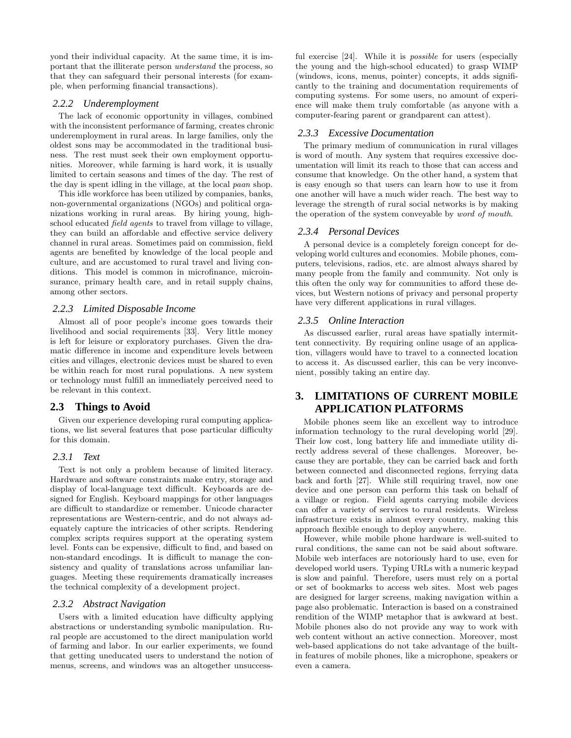yond their individual capacity. At the same time, it is important that the illiterate person understand the process, so that they can safeguard their personal interests (for example, when performing financial transactions).

### *2.2.2 Underemployment*

The lack of economic opportunity in villages, combined with the inconsistent performance of farming, creates chronic underemployment in rural areas. In large families, only the oldest sons may be accommodated in the traditional business. The rest must seek their own employment opportunities. Moreover, while farming is hard work, it is usually limited to certain seasons and times of the day. The rest of the day is spent idling in the village, at the local paan shop.

This idle workforce has been utilized by companies, banks, non-governmental organizations (NGOs) and political organizations working in rural areas. By hiring young, highschool educated *field agents* to travel from village to village, they can build an affordable and effective service delivery channel in rural areas. Sometimes paid on commission, field agents are benefited by knowledge of the local people and culture, and are accustomed to rural travel and living conditions. This model is common in microfinance, microinsurance, primary health care, and in retail supply chains, among other sectors.

#### *2.2.3 Limited Disposable Income*

Almost all of poor people's income goes towards their livelihood and social requirements [33]. Very little money is left for leisure or exploratory purchases. Given the dramatic difference in income and expenditure levels between cities and villages, electronic devices must be shared to even be within reach for most rural populations. A new system or technology must fulfill an immediately perceived need to be relevant in this context.

# **2.3 Things to Avoid**

Given our experience developing rural computing applications, we list several features that pose particular difficulty for this domain.

#### *2.3.1 Text*

Text is not only a problem because of limited literacy. Hardware and software constraints make entry, storage and display of local-language text difficult. Keyboards are designed for English. Keyboard mappings for other languages are difficult to standardize or remember. Unicode character representations are Western-centric, and do not always adequately capture the intricacies of other scripts. Rendering complex scripts requires support at the operating system level. Fonts can be expensive, difficult to find, and based on non-standard encodings. It is difficult to manage the consistency and quality of translations across unfamiliar languages. Meeting these requirements dramatically increases the technical complexity of a development project.

#### *2.3.2 Abstract Navigation*

Users with a limited education have difficulty applying abstractions or understanding symbolic manipulation. Rural people are accustomed to the direct manipulation world of farming and labor. In our earlier experiments, we found that getting uneducated users to understand the notion of menus, screens, and windows was an altogether unsuccessful exercise [24]. While it is *possible* for users (especially the young and the high-school educated) to grasp WIMP (windows, icons, menus, pointer) concepts, it adds significantly to the training and documentation requirements of computing systems. For some users, no amount of experience will make them truly comfortable (as anyone with a computer-fearing parent or grandparent can attest).

## *2.3.3 Excessive Documentation*

The primary medium of communication in rural villages is word of mouth. Any system that requires excessive documentation will limit its reach to those that can access and consume that knowledge. On the other hand, a system that is easy enough so that users can learn how to use it from one another will have a much wider reach. The best way to leverage the strength of rural social networks is by making the operation of the system conveyable by word of mouth.

#### *2.3.4 Personal Devices*

A personal device is a completely foreign concept for developing world cultures and economies. Mobile phones, computers, televisions, radios, etc. are almost always shared by many people from the family and community. Not only is this often the only way for communities to afford these devices, but Western notions of privacy and personal property have very different applications in rural villages.

#### *2.3.5 Online Interaction*

As discussed earlier, rural areas have spatially intermittent connectivity. By requiring online usage of an application, villagers would have to travel to a connected location to access it. As discussed earlier, this can be very inconvenient, possibly taking an entire day.

# **3. LIMITATIONS OF CURRENT MOBILE APPLICATION PLATFORMS**

Mobile phones seem like an excellent way to introduce information technology to the rural developing world [29]. Their low cost, long battery life and immediate utility directly address several of these challenges. Moreover, because they are portable, they can be carried back and forth between connected and disconnected regions, ferrying data back and forth [27]. While still requiring travel, now one device and one person can perform this task on behalf of a village or region. Field agents carrying mobile devices can offer a variety of services to rural residents. Wireless infrastructure exists in almost every country, making this approach flexible enough to deploy anywhere.

However, while mobile phone hardware is well-suited to rural conditions, the same can not be said about software. Mobile web interfaces are notoriously hard to use, even for developed world users. Typing URLs with a numeric keypad is slow and painful. Therefore, users must rely on a portal or set of bookmarks to access web sites. Most web pages are designed for larger screens, making navigation within a page also problematic. Interaction is based on a constrained rendition of the WIMP metaphor that is awkward at best. Mobile phones also do not provide any way to work with web content without an active connection. Moreover, most web-based applications do not take advantage of the builtin features of mobile phones, like a microphone, speakers or even a camera.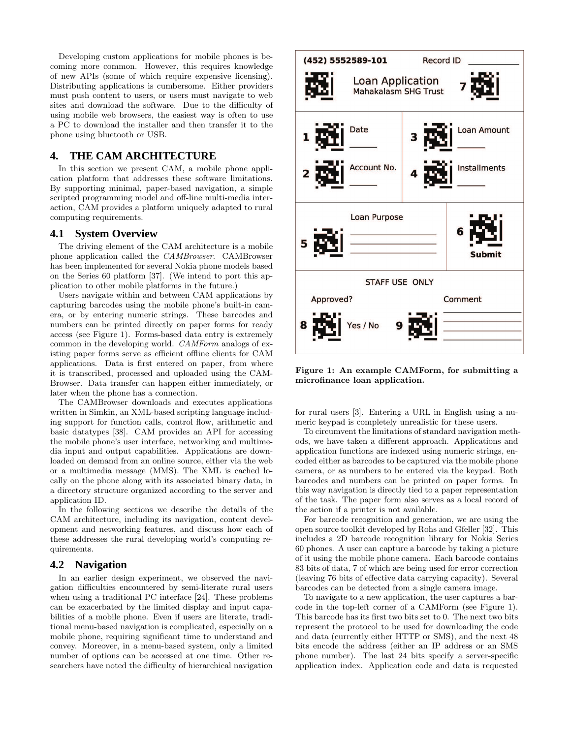Developing custom applications for mobile phones is becoming more common. However, this requires knowledge of new APIs (some of which require expensive licensing). Distributing applications is cumbersome. Either providers must push content to users, or users must navigate to web sites and download the software. Due to the difficulty of using mobile web browsers, the easiest way is often to use a PC to download the installer and then transfer it to the phone using bluetooth or USB.

# **4. THE CAM ARCHITECTURE**

In this section we present CAM, a mobile phone application platform that addresses these software limitations. By supporting minimal, paper-based navigation, a simple scripted programming model and off-line multi-media interaction, CAM provides a platform uniquely adapted to rural computing requirements.

## **4.1 System Overview**

The driving element of the CAM architecture is a mobile phone application called the CAMBrowser. CAMBrowser has been implemented for several Nokia phone models based on the Series 60 platform [37]. (We intend to port this application to other mobile platforms in the future.)

Users navigate within and between CAM applications by capturing barcodes using the mobile phone's built-in camera, or by entering numeric strings. These barcodes and numbers can be printed directly on paper forms for ready access (see Figure 1). Forms-based data entry is extremely common in the developing world. CAMForm analogs of existing paper forms serve as efficient offline clients for CAM applications. Data is first entered on paper, from where it is transcribed, processed and uploaded using the CAM-Browser. Data transfer can happen either immediately, or later when the phone has a connection.

The CAMBrowser downloads and executes applications written in Simkin, an XML-based scripting language including support for function calls, control flow, arithmetic and basic datatypes [38]. CAM provides an API for accessing the mobile phone's user interface, networking and multimedia input and output capabilities. Applications are downloaded on demand from an online source, either via the web or a multimedia message (MMS). The XML is cached locally on the phone along with its associated binary data, in a directory structure organized according to the server and application ID.

In the following sections we describe the details of the CAM architecture, including its navigation, content development and networking features, and discuss how each of these addresses the rural developing world's computing requirements.

#### **4.2 Navigation**

In an earlier design experiment, we observed the navigation difficulties encountered by semi-literate rural users when using a traditional PC interface [24]. These problems can be exacerbated by the limited display and input capabilities of a mobile phone. Even if users are literate, traditional menu-based navigation is complicated, especially on a mobile phone, requiring significant time to understand and convey. Moreover, in a menu-based system, only a limited number of options can be accessed at one time. Other researchers have noted the difficulty of hierarchical navigation



Figure 1: An example CAMForm, for submitting a microfinance loan application.

for rural users [3]. Entering a URL in English using a numeric keypad is completely unrealistic for these users.

To circumvent the limitations of standard navigation methods, we have taken a different approach. Applications and application functions are indexed using numeric strings, encoded either as barcodes to be captured via the mobile phone camera, or as numbers to be entered via the keypad. Both barcodes and numbers can be printed on paper forms. In this way navigation is directly tied to a paper representation of the task. The paper form also serves as a local record of the action if a printer is not available.

For barcode recognition and generation, we are using the open source toolkit developed by Rohs and Gfeller [32]. This includes a 2D barcode recognition library for Nokia Series 60 phones. A user can capture a barcode by taking a picture of it using the mobile phone camera. Each barcode contains 83 bits of data, 7 of which are being used for error correction (leaving 76 bits of effective data carrying capacity). Several barcodes can be detected from a single camera image.

To navigate to a new application, the user captures a barcode in the top-left corner of a CAMForm (see Figure 1). This barcode has its first two bits set to 0. The next two bits represent the protocol to be used for downloading the code and data (currently either HTTP or SMS), and the next 48 bits encode the address (either an IP address or an SMS phone number). The last 24 bits specify a server-specific application index. Application code and data is requested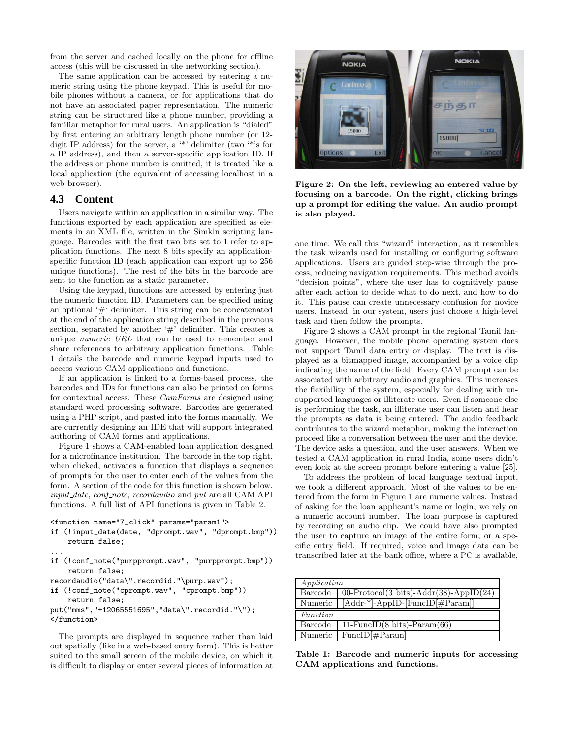from the server and cached locally on the phone for offline access (this will be discussed in the networking section).

The same application can be accessed by entering a numeric string using the phone keypad. This is useful for mobile phones without a camera, or for applications that do not have an associated paper representation. The numeric string can be structured like a phone number, providing a familiar metaphor for rural users. An application is "dialed" by first entering an arbitrary length phone number (or 12 digit IP address) for the server, a '\*' delimiter (two '\*'s for a IP address), and then a server-specific application ID. If the address or phone number is omitted, it is treated like a local application (the equivalent of accessing localhost in a web browser).

# **4.3 Content**

Users navigate within an application in a similar way. The functions exported by each application are specified as elements in an XML file, written in the Simkin scripting language. Barcodes with the first two bits set to 1 refer to application functions. The next 8 bits specify an applicationspecific function ID (each application can export up to 256 unique functions). The rest of the bits in the barcode are sent to the function as a static parameter.

Using the keypad, functions are accessed by entering just the numeric function ID. Parameters can be specified using an optional '#' delimiter. This string can be concatenated at the end of the application string described in the previous section, separated by another  $\#$  delimiter. This creates a unique numeric URL that can be used to remember and share references to arbitrary application functions. Table 1 details the barcode and numeric keypad inputs used to access various CAM applications and functions.

If an application is linked to a forms-based process, the barcodes and IDs for functions can also be printed on forms for contextual access. These CamForms are designed using standard word processing software. Barcodes are generated using a PHP script, and pasted into the forms manually. We are currently designing an IDE that will support integrated authoring of CAM forms and applications.

Figure 1 shows a CAM-enabled loan application designed for a microfinance institution. The barcode in the top right, when clicked, activates a function that displays a sequence of prompts for the user to enter each of the values from the form. A section of the code for this function is shown below. input date, conf note, recordaudio and put are all CAM API functions. A full list of API functions is given in Table 2.

```
<function name="7_click" params="param1">
```
...

- if (!input\_date(date, "dprompt.wav", "dprompt.bmp")) return false;
- if (!conf\_note("purpprompt.wav", "purpprompt.bmp")) return false;
- recordaudio("data\".recordid."\purp.wav");
- if (!conf\_note("cprompt.wav", "cprompt.bmp")) return false;
- put("mms","+12065551695","data\".recordid."\"); </function>

The prompts are displayed in sequence rather than laid out spatially (like in a web-based entry form). This is better suited to the small screen of the mobile device, on which it is difficult to display or enter several pieces of information at



Figure 2: On the left, reviewing an entered value by focusing on a barcode. On the right, clicking brings up a prompt for editing the value. An audio prompt is also played.

one time. We call this "wizard" interaction, as it resembles the task wizards used for installing or configuring software applications. Users are guided step-wise through the process, reducing navigation requirements. This method avoids "decision points", where the user has to cognitively pause after each action to decide what to do next, and how to do it. This pause can create unnecessary confusion for novice users. Instead, in our system, users just choose a high-level task and then follow the prompts.

Figure 2 shows a CAM prompt in the regional Tamil language. However, the mobile phone operating system does not support Tamil data entry or display. The text is displayed as a bitmapped image, accompanied by a voice clip indicating the name of the field. Every CAM prompt can be associated with arbitrary audio and graphics. This increases the flexibility of the system, especially for dealing with unsupported languages or illiterate users. Even if someone else is performing the task, an illiterate user can listen and hear the prompts as data is being entered. The audio feedback contributes to the wizard metaphor, making the interaction proceed like a conversation between the user and the device. The device asks a question, and the user answers. When we tested a CAM application in rural India, some users didn't even look at the screen prompt before entering a value [25].

To address the problem of local language textual input, we took a different approach. Most of the values to be entered from the form in Figure 1 are numeric values. Instead of asking for the loan applicant's name or login, we rely on a numeric account number. The loan purpose is captured by recording an audio clip. We could have also prompted the user to capture an image of the entire form, or a specific entry field. If required, voice and image data can be transcribed later at the bank office, where a PC is available,

| Application |                                            |  |
|-------------|--------------------------------------------|--|
| Barcode     | 00-Protocol(3 bits)-Addr(38)-AppID(24)     |  |
| Numeric 1   | [Addr-*]-AppID-[FuncID[#Param]]            |  |
| Function    |                                            |  |
| Barcode     | 11-FuncID $(8 \text{ bits})$ -Param $(66)$ |  |
| Numeric     | $FuncID[\#Param]$                          |  |

Table 1: Barcode and numeric inputs for accessing CAM applications and functions.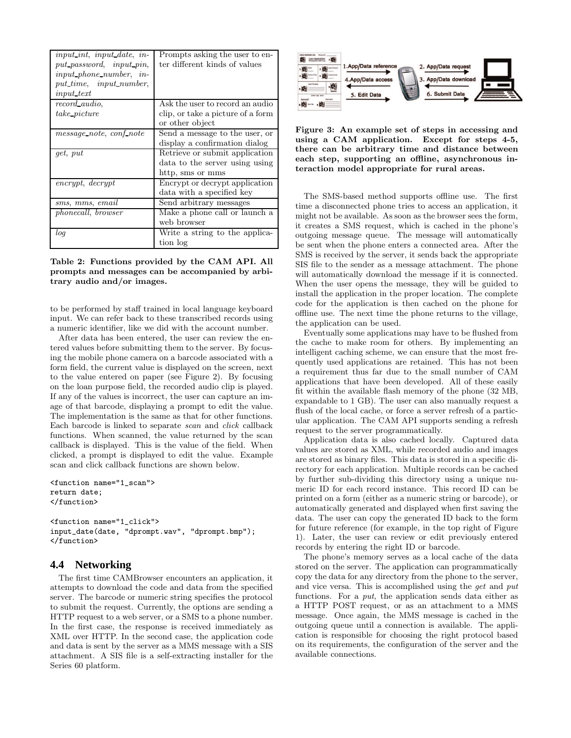| <i>input int, input date, in-</i><br>put_password, input_pin,<br><i>input_phone_number, in-</i><br>put_time, input_number, | Prompts asking the user to en-<br>ter different kinds of values |
|----------------------------------------------------------------------------------------------------------------------------|-----------------------------------------------------------------|
| <i>input_text</i>                                                                                                          |                                                                 |
| record audio.                                                                                                              | Ask the user to record an audio                                 |
| take picture                                                                                                               | clip, or take a picture of a form                               |
|                                                                                                                            | or other object                                                 |
| message_note, conf_note                                                                                                    | Send a message to the user, or                                  |
|                                                                                                                            | display a confirmation dialog                                   |
| <i>get</i> , put                                                                                                           | Retrieve or submit application                                  |
|                                                                                                                            | data to the server using using                                  |
|                                                                                                                            | http, sms or mms                                                |
| encrypt, decrypt                                                                                                           | Encrypt or decrypt application                                  |
|                                                                                                                            | data with a specified key                                       |
| sms, mms, email                                                                                                            | Send arbitrary messages                                         |
| <i>phonecall, browser</i>                                                                                                  | Make a phone call or launch a                                   |
|                                                                                                                            | web browser                                                     |
| log                                                                                                                        | Write a string to the applica-                                  |
|                                                                                                                            | tion log                                                        |

Table 2: Functions provided by the CAM API. All prompts and messages can be accompanied by arbitrary audio and/or images.

to be performed by staff trained in local language keyboard input. We can refer back to these transcribed records using a numeric identifier, like we did with the account number.

After data has been entered, the user can review the entered values before submitting them to the server. By focusing the mobile phone camera on a barcode associated with a form field, the current value is displayed on the screen, next to the value entered on paper (see Figure 2). By focusing on the loan purpose field, the recorded audio clip is played. If any of the values is incorrect, the user can capture an image of that barcode, displaying a prompt to edit the value. The implementation is the same as that for other functions. Each barcode is linked to separate scan and click callback functions. When scanned, the value returned by the scan callback is displayed. This is the value of the field. When clicked, a prompt is displayed to edit the value. Example scan and click callback functions are shown below.

```
<function name="1_scan">
return date;
</function>
```

```
<function name="1_click">
input_date(date, "dprompt.wav", "dprompt.bmp");
</function>
```
## **4.4 Networking**

The first time CAMBrowser encounters an application, it attempts to download the code and data from the specified server. The barcode or numeric string specifies the protocol to submit the request. Currently, the options are sending a HTTP request to a web server, or a SMS to a phone number. In the first case, the response is received immediately as XML over HTTP. In the second case, the application code and data is sent by the server as a MMS message with a SIS attachment. A SIS file is a self-extracting installer for the Series 60 platform.



Figure 3: An example set of steps in accessing and using a CAM application. Except for steps 4-5, there can be arbitrary time and distance between each step, supporting an offline, asynchronous interaction model appropriate for rural areas.

The SMS-based method supports offline use. The first time a disconnected phone tries to access an application, it might not be available. As soon as the browser sees the form, it creates a SMS request, which is cached in the phone's outgoing message queue. The message will automatically be sent when the phone enters a connected area. After the SMS is received by the server, it sends back the appropriate SIS file to the sender as a message attachment. The phone will automatically download the message if it is connected. When the user opens the message, they will be guided to install the application in the proper location. The complete code for the application is then cached on the phone for offline use. The next time the phone returns to the village, the application can be used.

Eventually some applications may have to be flushed from the cache to make room for others. By implementing an intelligent caching scheme, we can ensure that the most frequently used applications are retained. This has not been a requirement thus far due to the small number of CAM applications that have been developed. All of these easily fit within the available flash memory of the phone (32 MB, expandable to 1 GB). The user can also manually request a flush of the local cache, or force a server refresh of a particular application. The CAM API supports sending a refresh request to the server programmatically.

Application data is also cached locally. Captured data values are stored as XML, while recorded audio and images are stored as binary files. This data is stored in a specific directory for each application. Multiple records can be cached by further sub-dividing this directory using a unique numeric ID for each record instance. This record ID can be printed on a form (either as a numeric string or barcode), or automatically generated and displayed when first saving the data. The user can copy the generated ID back to the form for future reference (for example, in the top right of Figure 1). Later, the user can review or edit previously entered records by entering the right ID or barcode.

The phone's memory serves as a local cache of the data stored on the server. The application can programmatically copy the data for any directory from the phone to the server, and vice versa. This is accomplished using the get and put functions. For a put, the application sends data either as a HTTP POST request, or as an attachment to a MMS message. Once again, the MMS message is cached in the outgoing queue until a connection is available. The application is responsible for choosing the right protocol based on its requirements, the configuration of the server and the available connections.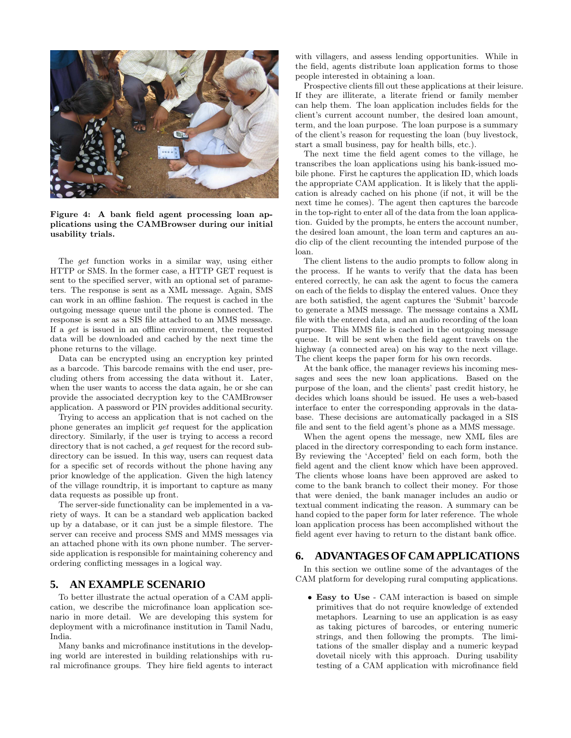

Figure 4: A bank field agent processing loan applications using the CAMBrowser during our initial usability trials.

The get function works in a similar way, using either HTTP or SMS. In the former case, a HTTP GET request is sent to the specified server, with an optional set of parameters. The response is sent as a XML message. Again, SMS can work in an offline fashion. The request is cached in the outgoing message queue until the phone is connected. The response is sent as a SIS file attached to an MMS message. If a get is issued in an offline environment, the requested data will be downloaded and cached by the next time the phone returns to the village.

Data can be encrypted using an encryption key printed as a barcode. This barcode remains with the end user, precluding others from accessing the data without it. Later, when the user wants to access the data again, he or she can provide the associated decryption key to the CAMBrowser application. A password or PIN provides additional security.

Trying to access an application that is not cached on the phone generates an implicit get request for the application directory. Similarly, if the user is trying to access a record directory that is not cached, a *get* request for the record subdirectory can be issued. In this way, users can request data for a specific set of records without the phone having any prior knowledge of the application. Given the high latency of the village roundtrip, it is important to capture as many data requests as possible up front.

The server-side functionality can be implemented in a variety of ways. It can be a standard web application backed up by a database, or it can just be a simple filestore. The server can receive and process SMS and MMS messages via an attached phone with its own phone number. The serverside application is responsible for maintaining coherency and ordering conflicting messages in a logical way.

# **5. AN EXAMPLE SCENARIO**

To better illustrate the actual operation of a CAM application, we describe the microfinance loan application scenario in more detail. We are developing this system for deployment with a microfinance institution in Tamil Nadu, India.

Many banks and microfinance institutions in the developing world are interested in building relationships with rural microfinance groups. They hire field agents to interact

with villagers, and assess lending opportunities. While in the field, agents distribute loan application forms to those people interested in obtaining a loan.

Prospective clients fill out these applications at their leisure. If they are illiterate, a literate friend or family member can help them. The loan application includes fields for the client's current account number, the desired loan amount, term, and the loan purpose. The loan purpose is a summary of the client's reason for requesting the loan (buy livestock, start a small business, pay for health bills, etc.).

The next time the field agent comes to the village, he transcribes the loan applications using his bank-issued mobile phone. First he captures the application ID, which loads the appropriate CAM application. It is likely that the application is already cached on his phone (if not, it will be the next time he comes). The agent then captures the barcode in the top-right to enter all of the data from the loan application. Guided by the prompts, he enters the account number, the desired loan amount, the loan term and captures an audio clip of the client recounting the intended purpose of the loan.

The client listens to the audio prompts to follow along in the process. If he wants to verify that the data has been entered correctly, he can ask the agent to focus the camera on each of the fields to display the entered values. Once they are both satisfied, the agent captures the 'Submit' barcode to generate a MMS message. The message contains a XML file with the entered data, and an audio recording of the loan purpose. This MMS file is cached in the outgoing message queue. It will be sent when the field agent travels on the highway (a connected area) on his way to the next village. The client keeps the paper form for his own records.

At the bank office, the manager reviews his incoming messages and sees the new loan applications. Based on the purpose of the loan, and the clients' past credit history, he decides which loans should be issued. He uses a web-based interface to enter the corresponding approvals in the database. These decisions are automatically packaged in a SIS file and sent to the field agent's phone as a MMS message.

When the agent opens the message, new XML files are placed in the directory corresponding to each form instance. By reviewing the 'Accepted' field on each form, both the field agent and the client know which have been approved. The clients whose loans have been approved are asked to come to the bank branch to collect their money. For those that were denied, the bank manager includes an audio or textual comment indicating the reason. A summary can be hand copied to the paper form for later reference. The whole loan application process has been accomplished without the field agent ever having to return to the distant bank office.

# **6. ADVANTAGESOF CAMAPPLICATIONS**

In this section we outline some of the advantages of the CAM platform for developing rural computing applications.

• Easy to Use - CAM interaction is based on simple primitives that do not require knowledge of extended metaphors. Learning to use an application is as easy as taking pictures of barcodes, or entering numeric strings, and then following the prompts. The limitations of the smaller display and a numeric keypad dovetail nicely with this approach. During usability testing of a CAM application with microfinance field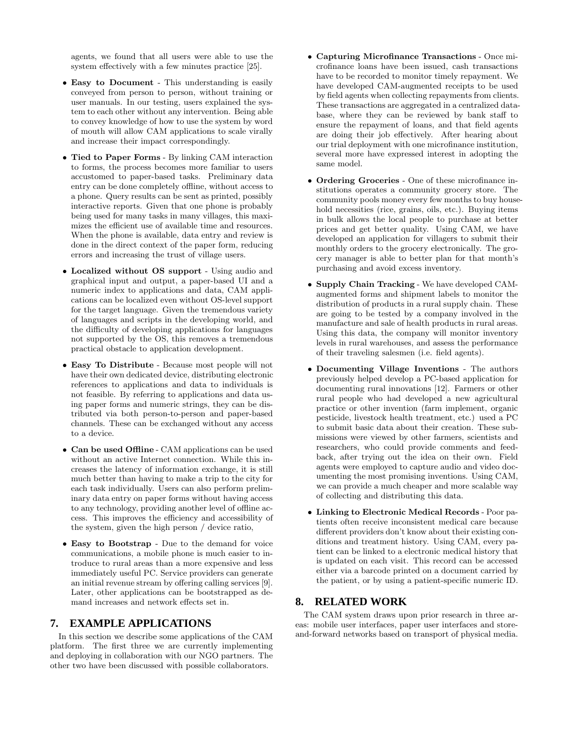agents, we found that all users were able to use the system effectively with a few minutes practice [25].

- Easy to Document This understanding is easily conveyed from person to person, without training or user manuals. In our testing, users explained the system to each other without any intervention. Being able to convey knowledge of how to use the system by word of mouth will allow CAM applications to scale virally and increase their impact correspondingly.
- Tied to Paper Forms By linking CAM interaction to forms, the process becomes more familiar to users accustomed to paper-based tasks. Preliminary data entry can be done completely offline, without access to a phone. Query results can be sent as printed, possibly interactive reports. Given that one phone is probably being used for many tasks in many villages, this maximizes the efficient use of available time and resources. When the phone is available, data entry and review is done in the direct context of the paper form, reducing errors and increasing the trust of village users.
- Localized without OS support Using audio and graphical input and output, a paper-based UI and a numeric index to applications and data, CAM applications can be localized even without OS-level support for the target language. Given the tremendous variety of languages and scripts in the developing world, and the difficulty of developing applications for languages not supported by the OS, this removes a tremendous practical obstacle to application development.
- Easy To Distribute Because most people will not have their own dedicated device, distributing electronic references to applications and data to individuals is not feasible. By referring to applications and data using paper forms and numeric strings, they can be distributed via both person-to-person and paper-based channels. These can be exchanged without any access to a device.
- Can be used Offline CAM applications can be used without an active Internet connection. While this increases the latency of information exchange, it is still much better than having to make a trip to the city for each task individually. Users can also perform preliminary data entry on paper forms without having access to any technology, providing another level of offline access. This improves the efficiency and accessibility of the system, given the high person / device ratio,
- Easy to Bootstrap Due to the demand for voice communications, a mobile phone is much easier to introduce to rural areas than a more expensive and less immediately useful PC. Service providers can generate an initial revenue stream by offering calling services [9]. Later, other applications can be bootstrapped as demand increases and network effects set in.

# **7. EXAMPLE APPLICATIONS**

In this section we describe some applications of the CAM platform. The first three we are currently implementing and deploying in collaboration with our NGO partners. The other two have been discussed with possible collaborators.

- Capturing Microfinance Transactions Once microfinance loans have been issued, cash transactions have to be recorded to monitor timely repayment. We have developed CAM-augmented receipts to be used by field agents when collecting repayments from clients. These transactions are aggregated in a centralized database, where they can be reviewed by bank staff to ensure the repayment of loans, and that field agents are doing their job effectively. After hearing about our trial deployment with one microfinance institution, several more have expressed interest in adopting the same model.
- Ordering Groceries One of these microfinance institutions operates a community grocery store. The community pools money every few months to buy household necessities (rice, grains, oils, etc.). Buying items in bulk allows the local people to purchase at better prices and get better quality. Using CAM, we have developed an application for villagers to submit their monthly orders to the grocery electronically. The grocery manager is able to better plan for that month's purchasing and avoid excess inventory.
- Supply Chain Tracking We have developed CAMaugmented forms and shipment labels to monitor the distribution of products in a rural supply chain. These are going to be tested by a company involved in the manufacture and sale of health products in rural areas. Using this data, the company will monitor inventory levels in rural warehouses, and assess the performance of their traveling salesmen (i.e. field agents).
- Documenting Village Inventions The authors previously helped develop a PC-based application for documenting rural innovations [12]. Farmers or other rural people who had developed a new agricultural practice or other invention (farm implement, organic pesticide, livestock health treatment, etc.) used a PC to submit basic data about their creation. These submissions were viewed by other farmers, scientists and researchers, who could provide comments and feedback, after trying out the idea on their own. Field agents were employed to capture audio and video documenting the most promising inventions. Using CAM, we can provide a much cheaper and more scalable way of collecting and distributing this data.
- Linking to Electronic Medical Records Poor patients often receive inconsistent medical care because different providers don't know about their existing conditions and treatment history. Using CAM, every patient can be linked to a electronic medical history that is updated on each visit. This record can be accessed either via a barcode printed on a document carried by the patient, or by using a patient-specific numeric ID.

# **8. RELATED WORK**

The CAM system draws upon prior research in three areas: mobile user interfaces, paper user interfaces and storeand-forward networks based on transport of physical media.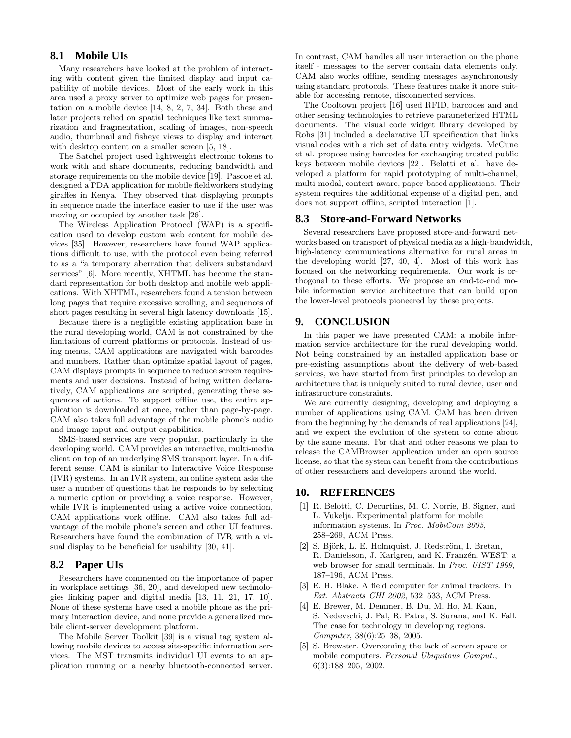# **8.1 Mobile UIs**

Many researchers have looked at the problem of interacting with content given the limited display and input capability of mobile devices. Most of the early work in this area used a proxy server to optimize web pages for presentation on a mobile device [14, 8, 2, 7, 34]. Both these and later projects relied on spatial techniques like text summarization and fragmentation, scaling of images, non-speech audio, thumbnail and fisheye views to display and interact with desktop content on a smaller screen [5, 18].

The Satchel project used lightweight electronic tokens to work with and share documents, reducing bandwidth and storage requirements on the mobile device [19]. Pascoe et al. designed a PDA application for mobile fieldworkers studying giraffes in Kenya. They observed that displaying prompts in sequence made the interface easier to use if the user was moving or occupied by another task [26].

The Wireless Application Protocol (WAP) is a specification used to develop custom web content for mobile devices [35]. However, researchers have found WAP applications difficult to use, with the protocol even being referred to as a "a temporary aberration that delivers substandard services" [6]. More recently, XHTML has become the standard representation for both desktop and mobile web applications. With XHTML, researchers found a tension between long pages that require excessive scrolling, and sequences of short pages resulting in several high latency downloads [15].

Because there is a negligible existing application base in the rural developing world, CAM is not constrained by the limitations of current platforms or protocols. Instead of using menus, CAM applications are navigated with barcodes and numbers. Rather than optimize spatial layout of pages, CAM displays prompts in sequence to reduce screen requirements and user decisions. Instead of being written declaratively, CAM applications are scripted, generating these sequences of actions. To support offline use, the entire application is downloaded at once, rather than page-by-page. CAM also takes full advantage of the mobile phone's audio and image input and output capabilities.

SMS-based services are very popular, particularly in the developing world. CAM provides an interactive, multi-media client on top of an underlying SMS transport layer. In a different sense, CAM is similar to Interactive Voice Response (IVR) systems. In an IVR system, an online system asks the user a number of questions that he responds to by selecting a numeric option or providing a voice response. However, while IVR is implemented using a active voice connection, CAM applications work offline. CAM also takes full advantage of the mobile phone's screen and other UI features. Researchers have found the combination of IVR with a visual display to be beneficial for usability [30, 41].

#### **8.2 Paper UIs**

Researchers have commented on the importance of paper in workplace settings [36, 20], and developed new technologies linking paper and digital media [13, 11, 21, 17, 10]. None of these systems have used a mobile phone as the primary interaction device, and none provide a generalized mobile client-server development platform.

The Mobile Server Toolkit [39] is a visual tag system allowing mobile devices to access site-specific information services. The MST transmits individual UI events to an application running on a nearby bluetooth-connected server. In contrast, CAM handles all user interaction on the phone itself - messages to the server contain data elements only. CAM also works offline, sending messages asynchronously using standard protocols. These features make it more suitable for accessing remote, disconnected services.

The Cooltown project [16] used RFID, barcodes and and other sensing technologies to retrieve parameterized HTML documents. The visual code widget library developed by Rohs [31] included a declarative UI specification that links visual codes with a rich set of data entry widgets. McCune et al. propose using barcodes for exchanging trusted public keys between mobile devices [22]. Belotti et al. have developed a platform for rapid prototyping of multi-channel, multi-modal, context-aware, paper-based applications. Their system requires the additional expense of a digital pen, and does not support offline, scripted interaction [1].

## **8.3 Store-and-Forward Networks**

Several researchers have proposed store-and-forward networks based on transport of physical media as a high-bandwidth, high-latency communications alternative for rural areas in the developing world [27, 40, 4]. Most of this work has focused on the networking requirements. Our work is orthogonal to these efforts. We propose an end-to-end mobile information service architecture that can build upon the lower-level protocols pioneered by these projects.

# **9. CONCLUSION**

In this paper we have presented CAM: a mobile information service architecture for the rural developing world. Not being constrained by an installed application base or pre-existing assumptions about the delivery of web-based services, we have started from first principles to develop an architecture that is uniquely suited to rural device, user and infrastructure constraints.

We are currently designing, developing and deploying a number of applications using CAM. CAM has been driven from the beginning by the demands of real applications [24], and we expect the evolution of the system to come about by the same means. For that and other reasons we plan to release the CAMBrowser application under an open source license, so that the system can benefit from the contributions of other researchers and developers around the world.

## **10. REFERENCES**

- [1] R. Belotti, C. Decurtins, M. C. Norrie, B. Signer, and L. Vukelja. Experimental platform for mobile information systems. In Proc. MobiCom 2005, 258–269, ACM Press.
- [2] S. Björk, L. E. Holmquist, J. Redström, I. Bretan, R. Danielsson, J. Karlgren, and K. Franzén. WEST: a web browser for small terminals. In Proc. UIST 1999, 187–196, ACM Press.
- [3] E. H. Blake. A field computer for animal trackers. In Ext. Abstracts CHI 2002, 532–533, ACM Press.
- [4] E. Brewer, M. Demmer, B. Du, M. Ho, M. Kam, S. Nedevschi, J. Pal, R. Patra, S. Surana, and K. Fall. The case for technology in developing regions. Computer, 38(6):25–38, 2005.
- [5] S. Brewster. Overcoming the lack of screen space on mobile computers. Personal Ubiquitous Comput., 6(3):188–205, 2002.